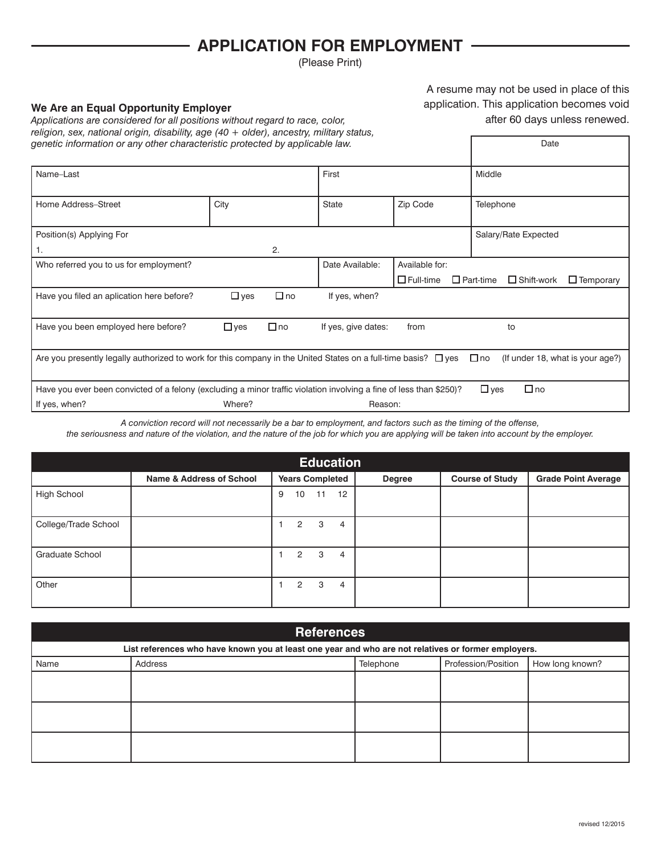## **APPLICATION FOR EMPLOYMENT**

(Please Print)

## **We Are an Equal Opportunity Employer**

A resume may not be used in place of this application. This application becomes void after 60 days unless renewed.

Date

| Applications are considered for all positions without regard to race, color,               |
|--------------------------------------------------------------------------------------------|
| religion, sex, national origin, disability, age $(40 +$ older), ancestry, military status, |
| genetic information or any other characteristic protected by applicable law.               |

| Name-Last                                                                                                                                                            |            | First     |                     | Middle           |                                                           |
|----------------------------------------------------------------------------------------------------------------------------------------------------------------------|------------|-----------|---------------------|------------------|-----------------------------------------------------------|
|                                                                                                                                                                      |            |           |                     |                  |                                                           |
| Home Address-Street                                                                                                                                                  | City       |           | <b>State</b>        | Zip Code         | Telephone                                                 |
|                                                                                                                                                                      |            |           |                     |                  |                                                           |
| Position(s) Applying For                                                                                                                                             |            |           |                     |                  | Salary/Rate Expected                                      |
| 1.                                                                                                                                                                   |            | 2.        |                     |                  |                                                           |
| Who referred you to us for employment?                                                                                                                               |            |           | Date Available:     | Available for:   |                                                           |
|                                                                                                                                                                      |            |           |                     | $\Box$ Full-time | $\Box$ Part-time<br>$\Box$ Shift-work<br>$\Box$ Temporary |
| Have you filed an aplication here before?                                                                                                                            | $\Box$ yes | $\Box$ no | If yes, when?       |                  |                                                           |
| Have you been employed here before?                                                                                                                                  | $\Box$ yes | $\Box$ no | If yes, give dates: | from             | to                                                        |
| Are you presently legally authorized to work for this company in the United States on a full-time basis? $\Box$ yes<br>$\Box$ no<br>(If under 18, what is your age?) |            |           |                     |                  |                                                           |
| $\Box$ no<br>Have you ever been convicted of a felony (excluding a minor traffic violation involving a fine of less than \$250)?<br>$\Box$ yes                       |            |           |                     |                  |                                                           |
| If yes, when?                                                                                                                                                        | Where?     |           | Reason:             |                  |                                                           |

*A conviction record will not necessarily be a bar to employment, and factors such as the timing of the offense,*

*the seriousness and nature of the violation, and the nature of the job for which you are applying will be taken into account by the employer.*

| Education            |                                     |                                          |               |                        |                            |  |
|----------------------|-------------------------------------|------------------------------------------|---------------|------------------------|----------------------------|--|
|                      | <b>Name &amp; Address of School</b> | <b>Years Completed</b>                   | <b>Degree</b> | <b>Course of Study</b> | <b>Grade Point Average</b> |  |
| High School          |                                     | 12<br>10<br>9<br>$\sim$ 11 $\rightarrow$ |               |                        |                            |  |
| College/Trade School |                                     | $\overline{2}$<br>3<br>4                 |               |                        |                            |  |
| Graduate School      |                                     | 3<br>$\overline{2}$<br>4                 |               |                        |                            |  |
| Other                |                                     | 3<br>$\overline{2}$<br>$\overline{4}$    |               |                        |                            |  |

| <b>References</b>                                                                                   |         |           |                     |                 |  |  |
|-----------------------------------------------------------------------------------------------------|---------|-----------|---------------------|-----------------|--|--|
| List references who have known you at least one year and who are not relatives or former employers. |         |           |                     |                 |  |  |
| Name                                                                                                | Address | Telephone | Profession/Position | How long known? |  |  |
|                                                                                                     |         |           |                     |                 |  |  |
|                                                                                                     |         |           |                     |                 |  |  |
|                                                                                                     |         |           |                     |                 |  |  |
|                                                                                                     |         |           |                     |                 |  |  |
|                                                                                                     |         |           |                     |                 |  |  |
|                                                                                                     |         |           |                     |                 |  |  |